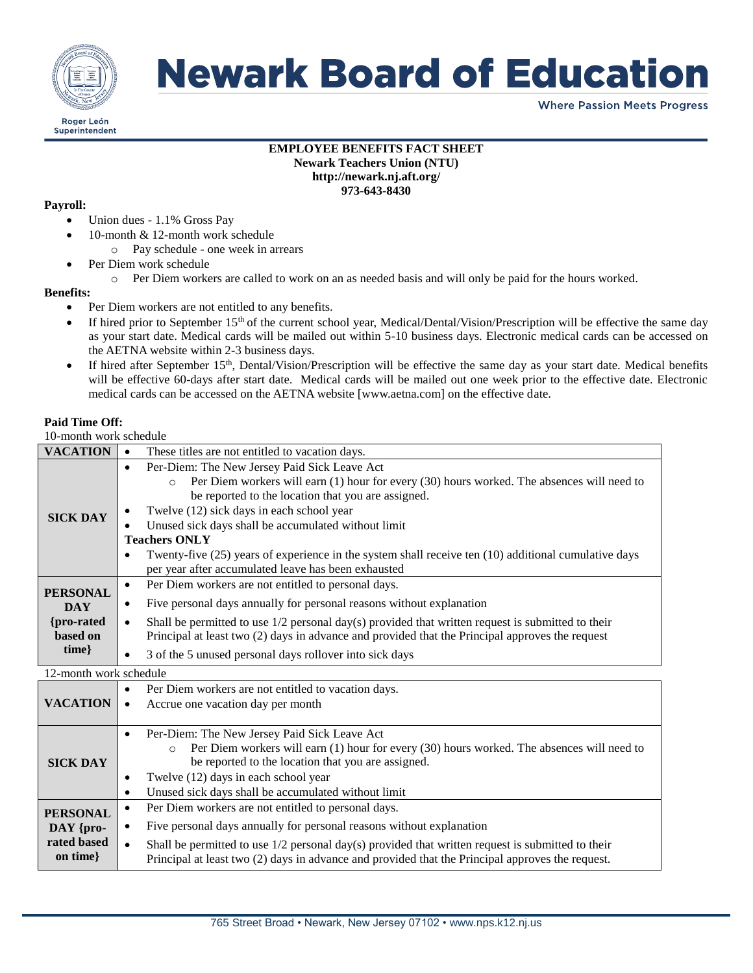

## **Newark Board of Education**

**Where Passion Meets Progress** 

#### **EMPLOYEE BENEFITS FACT SHEET Newark Teachers Union (NTU) http://newark.nj.aft.org/ 973-643-8430**

#### **Payroll:**

- Union dues 1.1% Gross Pay
- 10-month & 12-month work schedule
	- o Pay schedule one week in arrears
- Per Diem work schedule
	- o Per Diem workers are called to work on an as needed basis and will only be paid for the hours worked.

#### **Benefits:**

- Per Diem workers are not entitled to any benefits.
- If hired prior to September 15th of the current school year, Medical/Dental/Vision/Prescription will be effective the same day as your start date. Medical cards will be mailed out within 5-10 business days. Electronic medical cards can be accessed on the AETNA website within 2-3 business days.
- If hired after September 15<sup>th</sup>, Dental/Vision/Prescription will be effective the same day as your start date. Medical benefits will be effective 60-days after start date. Medical cards will be mailed out one week prior to the effective date. Electronic medical cards can be accessed on the AETNA website [www.aetna.com] on the effective date.

#### **Paid Time Off:**

#### 10-month work schedule

| TU-MUMIM WULK SCHCQUIC                      |                                                                                                                  |  |
|---------------------------------------------|------------------------------------------------------------------------------------------------------------------|--|
| <b>VACATION</b>                             | These titles are not entitled to vacation days.<br>$\bullet$                                                     |  |
| <b>SICK DAY</b>                             | Per-Diem: The New Jersey Paid Sick Leave Act<br>$\bullet$                                                        |  |
|                                             | Per Diem workers will earn (1) hour for every (30) hours worked. The absences will need to<br>$\circ$            |  |
|                                             | be reported to the location that you are assigned.                                                               |  |
|                                             | Twelve (12) sick days in each school year                                                                        |  |
|                                             | Unused sick days shall be accumulated without limit                                                              |  |
|                                             | <b>Teachers ONLY</b>                                                                                             |  |
|                                             | Twenty-five (25) years of experience in the system shall receive ten (10) additional cumulative days             |  |
|                                             | per year after accumulated leave has been exhausted                                                              |  |
| <b>PERSONAL</b><br><b>DAY</b>               | Per Diem workers are not entitled to personal days.<br>$\bullet$                                                 |  |
|                                             | Five personal days annually for personal reasons without explanation<br>$\bullet$                                |  |
| {pro-rated}                                 | Shall be permitted to use $1/2$ personal day(s) provided that written request is submitted to their<br>$\bullet$ |  |
| based on                                    | Principal at least two (2) days in advance and provided that the Principal approves the request                  |  |
| $time\}$                                    | 3 of the 5 unused personal days rollover into sick days<br>$\bullet$                                             |  |
| 12-month work schedule                      |                                                                                                                  |  |
| <b>VACATION</b>                             | Per Diem workers are not entitled to vacation days.<br>$\bullet$                                                 |  |
|                                             | Accrue one vacation day per month<br>$\bullet$                                                                   |  |
|                                             |                                                                                                                  |  |
| <b>SICK DAY</b>                             | Per-Diem: The New Jersey Paid Sick Leave Act<br>$\bullet$                                                        |  |
|                                             | Per Diem workers will earn (1) hour for every (30) hours worked. The absences will need to<br>$\circ$            |  |
|                                             | be reported to the location that you are assigned.                                                               |  |
|                                             | Twelve (12) days in each school year<br>$\bullet$                                                                |  |
|                                             | Unused sick days shall be accumulated without limit<br>$\bullet$                                                 |  |
| <b>PERSONAL</b><br>DAY {pro-<br>rated based | Per Diem workers are not entitled to personal days.<br>$\bullet$                                                 |  |
|                                             | Five personal days annually for personal reasons without explanation                                             |  |
|                                             | Shall be permitted to use 1/2 personal day(s) provided that written request is submitted to their<br>$\bullet$   |  |
| on time}                                    | Principal at least two (2) days in advance and provided that the Principal approves the request.                 |  |
|                                             |                                                                                                                  |  |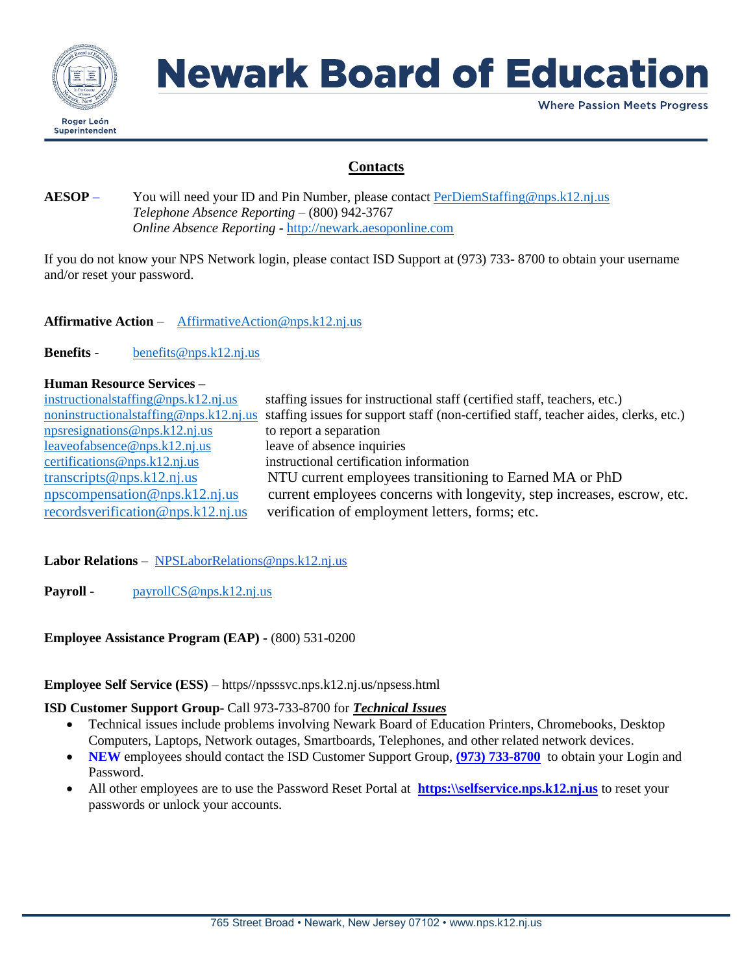

# **Newark Board of Education**

**Where Passion Meets Progress** 

## **Contacts**

### **AESOP** – You will need your ID and Pin Number, please contact [PerDiemStaffing@nps.k12.nj.us](mailto:PerDiemStaffing@nps.k12.nj.us) *Telephone Absence Reporting* – (800) 942-3767 *Online Absence Reporting* - [http://newark.aesoponline.com](http://newark.aesoponline.com/)

If you do not know your NPS Network login, please contact ISD Support at (973) 733- 8700 to obtain your username and/or reset your password.

**Affirmative Action** – [AffirmativeAction@nps.k12.nj.us](mailto:AffirmativeAction@nps.k12.nj.us)

**Benefits** - [benefits@nps.k12.nj.us](mailto:benefits@nps.k12.nj.us)

### **Human Resource Services –**

| instructional staffing @nps.k12.nj.us | staffing issues for instructional staff (certified staff, teachers, etc.)                                                   |
|---------------------------------------|-----------------------------------------------------------------------------------------------------------------------------|
|                                       | noninstructionalstaffing@nps.k12.nj.us staffing issues for support staff (non-certified staff, teacher aides, clerks, etc.) |
| npsresignations@nps.k12.nj.us         | to report a separation                                                                                                      |
| leaveofabsence@nps.k12.nj.us          | leave of absence inquiries                                                                                                  |
| certifications@nps.k12.nj.us          | instructional certification information                                                                                     |
| transcripts@nps.k12.nj.us             | NTU current employees transitioning to Earned MA or PhD                                                                     |
| npscompensation@nps.k12.nj.us         | current employees concerns with longevity, step increases, escrow, etc.                                                     |
| records verification @nps.k12.nj.us   | verification of employment letters, forms; etc.                                                                             |

### **Labor Relations** – NPSLaborRelations@nps.k12.nj.us

Payroll - [payrollCS@nps.k12.nj.us](mailto:payrollCS@nps.k12.nj.us)

### **Employee Assistance Program (EAP) -** (800) 531-0200

#### **Employee Self Service (ESS)** – https//npsssvc.nps.k12.nj.us/npsess.html

#### **ISD Customer Support Group**- Call 973-733-8700 for *Technical Issues*

- Technical issues include problems involving Newark Board of Education Printers, Chromebooks, Desktop Computers, Laptops, Network outages, Smartboards, Telephones, and other related network devices.
- **NEW** employees should contact the ISD Customer Support Group, **[\(973\)](mailto:CSupport@nps.k12.nj.us) 733-8700** to obtain your Login and Password.
- All other employees are to use the Password Reset Portal at **[https:\\selfservice.nps.k12.nj.us](https://selfservice.nps.k12.nj.us/)** to reset your passwords or unlock your accounts.